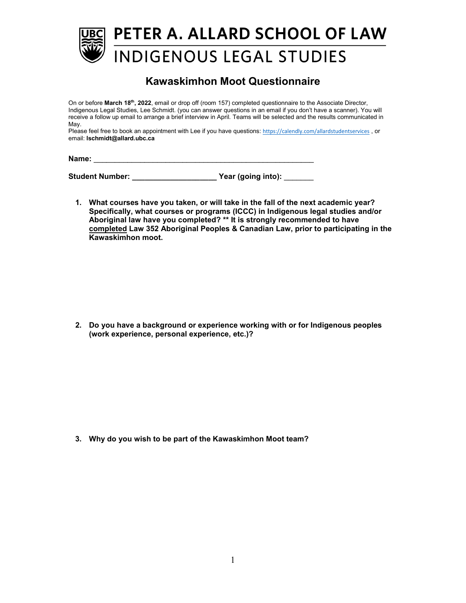

## **Kawaskimhon Moot Questionnaire**

On or before **March 18th, 2022**, email or drop off (room 157) completed questionnaire to the Associate Director, Indigenous Legal Studies, Lee Schmidt. (you can answer questions in an email if you don't have a scanner). You will receive a follow up email to arrange a brief interview in April. Teams will be selected and the results communicated in May.

Please feel free to book an appointment with Lee if you have questions: [https://calendly.com/allardstudentservices](https://nam12.safelinks.protection.outlook.com/?url=https%3A%2F%2Fcalendly.com%2Fallardstudentservices&data=04%7C01%7C%7C00c5e6dafbe748d7f17608da0154e514%7C84df9e7fe9f640afb435aaaaaaaaaaaa%7C1%7C0%7C637823761383870336%7CUnknown%7CTWFpbGZsb3d8eyJWIjoiMC4wLjAwMDAiLCJQIjoiV2luMzIiLCJBTiI6Ik1haWwiLCJXVCI6Mn0%3D%7C3000&sdata=R58wW2zcvSWxVMkSyv9dKY6l6ihQNjBsZhpLJNL3ukY%3D&reserved=0), or email: **lschmidt@allard.ubc.ca**

**Name:** \_\_\_\_\_\_\_\_\_\_\_\_\_\_\_\_\_\_\_\_\_\_\_\_\_\_\_\_\_\_\_\_\_\_\_\_\_\_\_\_\_\_\_\_\_\_\_\_\_\_\_\_

**Student Number: \_\_\_\_\_\_\_\_\_\_\_\_\_\_\_\_\_\_\_\_ Year (going into):** \_\_\_\_\_\_\_

**1. What courses have you taken, or will take in the fall of the next academic year? Specifically, what courses or programs (ICCC) in Indigenous legal studies and/or Aboriginal law have you completed? \*\* It is strongly recommended to have completed Law 352 Aboriginal Peoples & Canadian Law, prior to participating in the Kawaskimhon moot.**

**2. Do you have a background or experience working with or for Indigenous peoples (work experience, personal experience, etc.)?**

**3. Why do you wish to be part of the Kawaskimhon Moot team?**